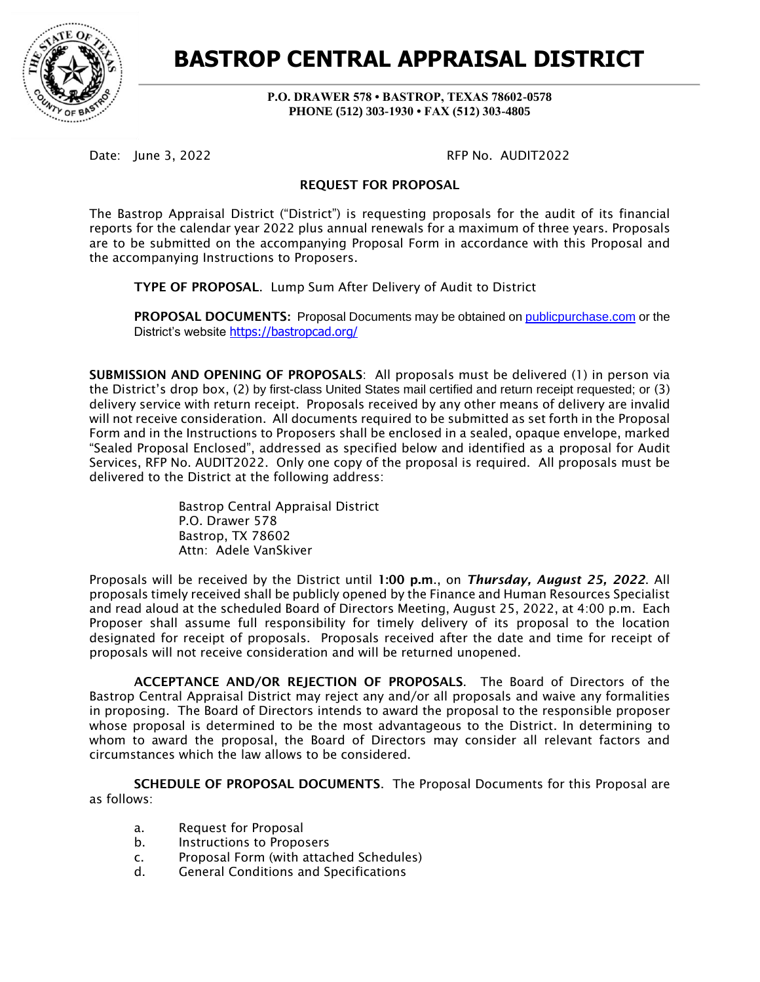

**BASTROP CENTRAL APPRAISAL DISTRICT**

**P.O. DRAWER 578 • BASTROP, TEXAS 78602-0578 PHONE (512) 303-1930 • FAX (512) 303-4805**

Date: June 3, 2022 **RFP No. AUDIT2022** 

## REQUEST FOR PROPOSAL

The Bastrop Appraisal District ("District") is requesting proposals for the audit of its financial reports for the calendar year 2022 plus annual renewals for a maximum of three years. Proposals are to be submitted on the accompanying Proposal Form in accordance with this Proposal and the accompanying Instructions to Proposers.

TYPE OF PROPOSAL. Lump Sum After Delivery of Audit to District

PROPOSAL DOCUMENTS**:** Proposal Documents may be obtained on [publicpurchase.com](https://www.publicpurchase.com/) or the District's website <https://bastropcad.org/>

SUBMISSION AND OPENING OF PROPOSALS: All proposals must be delivered (1) in person via the District's drop box, (2) by first-class United States mail certified and return receipt requested; or (3) delivery service with return receipt. Proposals received by any other means of delivery are invalid will not receive consideration. All documents required to be submitted as set forth in the Proposal Form and in the Instructions to Proposers shall be enclosed in a sealed, opaque envelope, marked "Sealed Proposal Enclosed", addressed as specified below and identified as a proposal for Audit Services, RFP No. AUDIT2022. Only one copy of the proposal is required. All proposals must be delivered to the District at the following address:

> Bastrop Central Appraisal District P.O. Drawer 578 Bastrop, TX 78602 Attn: Adele VanSkiver

Proposals will be received by the District until 1:00 p.m., on *Thursday, August 25, 2022*. All proposals timely received shall be publicly opened by the Finance and Human Resources Specialist and read aloud at the scheduled Board of Directors Meeting, August 25, 2022, at 4:00 p.m. Each Proposer shall assume full responsibility for timely delivery of its proposal to the location designated for receipt of proposals. Proposals received after the date and time for receipt of proposals will not receive consideration and will be returned unopened.

ACCEPTANCE AND/OR REJECTION OF PROPOSALS. The Board of Directors of the Bastrop Central Appraisal District may reject any and/or all proposals and waive any formalities in proposing. The Board of Directors intends to award the proposal to the responsible proposer whose proposal is determined to be the most advantageous to the District. In determining to whom to award the proposal, the Board of Directors may consider all relevant factors and circumstances which the law allows to be considered.

SCHEDULE OF PROPOSAL DOCUMENTS. The Proposal Documents for this Proposal are as follows:

- a. Request for Proposal
- b. Instructions to Proposers
- c. Proposal Form (with attached Schedules)
- d. General Conditions and Specifications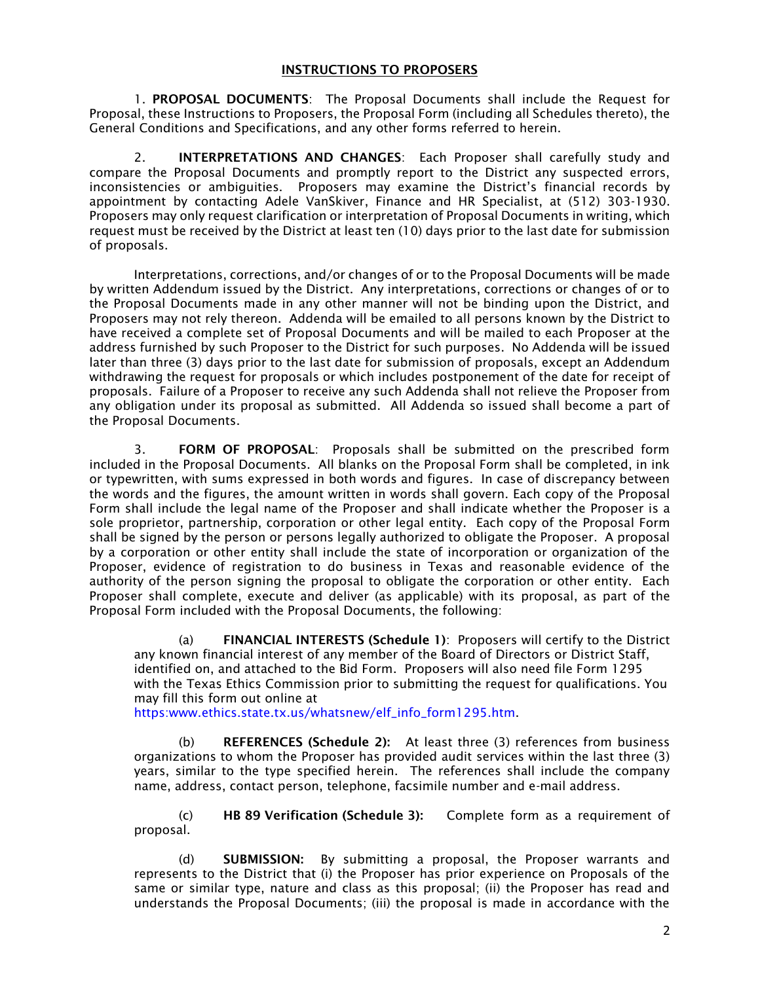#### INSTRUCTIONS TO PROPOSERS

1. PROPOSAL DOCUMENTS: The Proposal Documents shall include the Request for Proposal, these Instructions to Proposers, the Proposal Form (including all Schedules thereto), the General Conditions and Specifications, and any other forms referred to herein.

2. **INTERPRETATIONS AND CHANGES**: Each Proposer shall carefully study and compare the Proposal Documents and promptly report to the District any suspected errors, inconsistencies or ambiguities. Proposers may examine the District's financial records by appointment by contacting Adele VanSkiver, Finance and HR Specialist, at (512) 303-1930. Proposers may only request clarification or interpretation of Proposal Documents in writing, which request must be received by the District at least ten (10) days prior to the last date for submission of proposals.

Interpretations, corrections, and/or changes of or to the Proposal Documents will be made by written Addendum issued by the District. Any interpretations, corrections or changes of or to the Proposal Documents made in any other manner will not be binding upon the District, and Proposers may not rely thereon. Addenda will be emailed to all persons known by the District to have received a complete set of Proposal Documents and will be mailed to each Proposer at the address furnished by such Proposer to the District for such purposes. No Addenda will be issued later than three (3) days prior to the last date for submission of proposals, except an Addendum withdrawing the request for proposals or which includes postponement of the date for receipt of proposals. Failure of a Proposer to receive any such Addenda shall not relieve the Proposer from any obligation under its proposal as submitted. All Addenda so issued shall become a part of the Proposal Documents.

3. FORM OF PROPOSAL: Proposals shall be submitted on the prescribed form included in the Proposal Documents. All blanks on the Proposal Form shall be completed, in ink or typewritten, with sums expressed in both words and figures. In case of discrepancy between the words and the figures, the amount written in words shall govern. Each copy of the Proposal Form shall include the legal name of the Proposer and shall indicate whether the Proposer is a sole proprietor, partnership, corporation or other legal entity. Each copy of the Proposal Form shall be signed by the person or persons legally authorized to obligate the Proposer. A proposal by a corporation or other entity shall include the state of incorporation or organization of the Proposer, evidence of registration to do business in Texas and reasonable evidence of the authority of the person signing the proposal to obligate the corporation or other entity. Each Proposer shall complete, execute and deliver (as applicable) with its proposal, as part of the Proposal Form included with the Proposal Documents, the following:

(a) FINANCIAL INTERESTS (Schedule 1): Proposers will certify to the District any known financial interest of any member of the Board of Directors or District Staff, identified on, and attached to the Bid Form. Proposers will also need file Form 1295 with the Texas Ethics Commission prior to submitting the request for qualifications. You may fill this form out online at

https:www.ethics.state.tx.us/whatsnew/elf\_info\_form1295.htm.

(b) REFERENCES (Schedule 2): At least three (3) references from business organizations to whom the Proposer has provided audit services within the last three (3) years, similar to the type specified herein. The references shall include the company name, address, contact person, telephone, facsimile number and e-mail address.

(c) HB 89 Verification (Schedule 3): Complete form as a requirement of proposal.

(d) SUBMISSION: By submitting a proposal, the Proposer warrants and represents to the District that (i) the Proposer has prior experience on Proposals of the same or similar type, nature and class as this proposal; (ii) the Proposer has read and understands the Proposal Documents; (iii) the proposal is made in accordance with the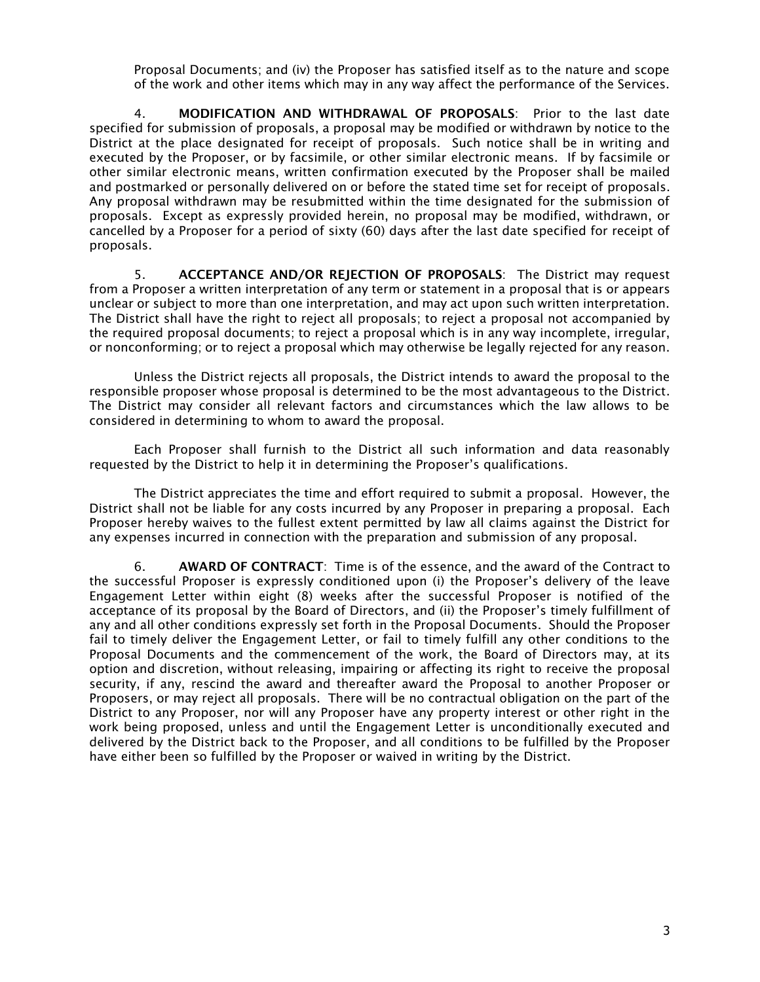Proposal Documents; and (iv) the Proposer has satisfied itself as to the nature and scope of the work and other items which may in any way affect the performance of the Services.

4. MODIFICATION AND WITHDRAWAL OF PROPOSALS: Prior to the last date specified for submission of proposals, a proposal may be modified or withdrawn by notice to the District at the place designated for receipt of proposals. Such notice shall be in writing and executed by the Proposer, or by facsimile, or other similar electronic means. If by facsimile or other similar electronic means, written confirmation executed by the Proposer shall be mailed and postmarked or personally delivered on or before the stated time set for receipt of proposals. Any proposal withdrawn may be resubmitted within the time designated for the submission of proposals. Except as expressly provided herein, no proposal may be modified, withdrawn, or cancelled by a Proposer for a period of sixty (60) days after the last date specified for receipt of proposals.

5. ACCEPTANCE AND/OR REJECTION OF PROPOSALS: The District may request from a Proposer a written interpretation of any term or statement in a proposal that is or appears unclear or subject to more than one interpretation, and may act upon such written interpretation. The District shall have the right to reject all proposals; to reject a proposal not accompanied by the required proposal documents; to reject a proposal which is in any way incomplete, irregular, or nonconforming; or to reject a proposal which may otherwise be legally rejected for any reason.

Unless the District rejects all proposals, the District intends to award the proposal to the responsible proposer whose proposal is determined to be the most advantageous to the District. The District may consider all relevant factors and circumstances which the law allows to be considered in determining to whom to award the proposal.

Each Proposer shall furnish to the District all such information and data reasonably requested by the District to help it in determining the Proposer's qualifications.

The District appreciates the time and effort required to submit a proposal. However, the District shall not be liable for any costs incurred by any Proposer in preparing a proposal. Each Proposer hereby waives to the fullest extent permitted by law all claims against the District for any expenses incurred in connection with the preparation and submission of any proposal.

6. AWARD OF CONTRACT: Time is of the essence, and the award of the Contract to the successful Proposer is expressly conditioned upon (i) the Proposer's delivery of the leave Engagement Letter within eight (8) weeks after the successful Proposer is notified of the acceptance of its proposal by the Board of Directors, and (ii) the Proposer's timely fulfillment of any and all other conditions expressly set forth in the Proposal Documents. Should the Proposer fail to timely deliver the Engagement Letter, or fail to timely fulfill any other conditions to the Proposal Documents and the commencement of the work, the Board of Directors may, at its option and discretion, without releasing, impairing or affecting its right to receive the proposal security, if any, rescind the award and thereafter award the Proposal to another Proposer or Proposers, or may reject all proposals. There will be no contractual obligation on the part of the District to any Proposer, nor will any Proposer have any property interest or other right in the work being proposed, unless and until the Engagement Letter is unconditionally executed and delivered by the District back to the Proposer, and all conditions to be fulfilled by the Proposer have either been so fulfilled by the Proposer or waived in writing by the District.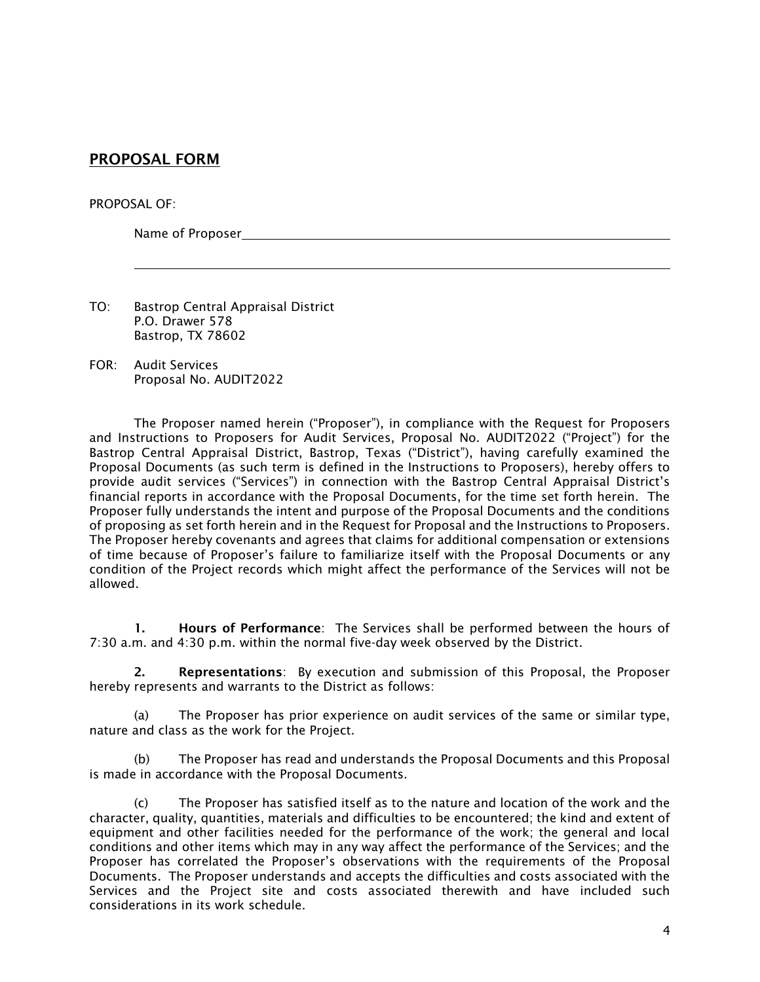# PROPOSAL FORM

#### PROPOSAL OF:

Name of Proposer

- TO: Bastrop Central Appraisal District P.O. Drawer 578 Bastrop, TX 78602
- FOR: Audit Services Proposal No. AUDIT2022

The Proposer named herein ("Proposer"), in compliance with the Request for Proposers and Instructions to Proposers for Audit Services, Proposal No. AUDIT2022 ("Project") for the Bastrop Central Appraisal District, Bastrop, Texas ("District"), having carefully examined the Proposal Documents (as such term is defined in the Instructions to Proposers), hereby offers to provide audit services ("Services") in connection with the Bastrop Central Appraisal District's financial reports in accordance with the Proposal Documents, for the time set forth herein. The Proposer fully understands the intent and purpose of the Proposal Documents and the conditions of proposing as set forth herein and in the Request for Proposal and the Instructions to Proposers. The Proposer hereby covenants and agrees that claims for additional compensation or extensions of time because of Proposer's failure to familiarize itself with the Proposal Documents or any condition of the Project records which might affect the performance of the Services will not be allowed.

1. Hours of Performance: The Services shall be performed between the hours of 7:30 a.m. and 4:30 p.m. within the normal five-day week observed by the District.

2. Representations: By execution and submission of this Proposal, the Proposer hereby represents and warrants to the District as follows:

(a) The Proposer has prior experience on audit services of the same or similar type, nature and class as the work for the Project.

(b) The Proposer has read and understands the Proposal Documents and this Proposal is made in accordance with the Proposal Documents.

(c) The Proposer has satisfied itself as to the nature and location of the work and the character, quality, quantities, materials and difficulties to be encountered; the kind and extent of equipment and other facilities needed for the performance of the work; the general and local conditions and other items which may in any way affect the performance of the Services; and the Proposer has correlated the Proposer's observations with the requirements of the Proposal Documents. The Proposer understands and accepts the difficulties and costs associated with the Services and the Project site and costs associated therewith and have included such considerations in its work schedule.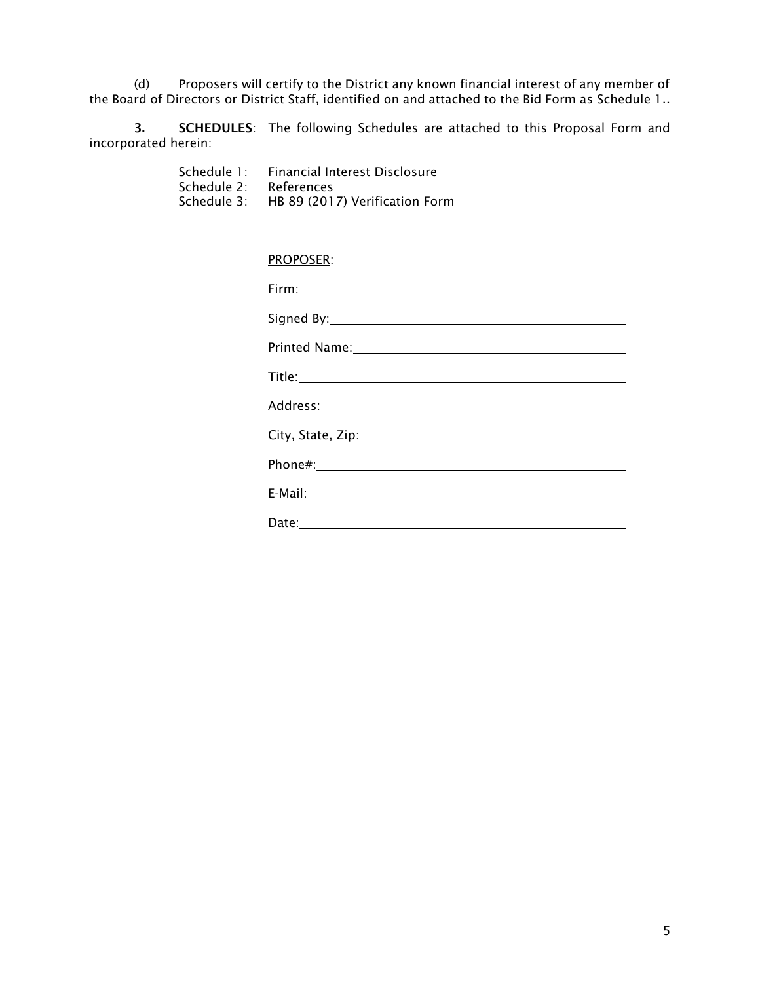(d) Proposers will certify to the District any known financial interest of any member of the Board of Directors or District Staff, identified on and attached to the Bid Form as <u>Schedule 1.</u>.

3. SCHEDULES: The following Schedules are attached to this Proposal Form and incorporated herein:

> Schedule 1: Financial Interest Disclosure Schedule 2: References<br>Schedule 3: HB 89 (201) HB 89 (2017) Verification Form

# PROPOSER:

| Printed Name: 1999 Manual Manual Manual Manual Manual Manual Manual Manual Manual Manual Manual Manual Manual |
|---------------------------------------------------------------------------------------------------------------|
|                                                                                                               |
|                                                                                                               |
|                                                                                                               |
|                                                                                                               |
|                                                                                                               |
|                                                                                                               |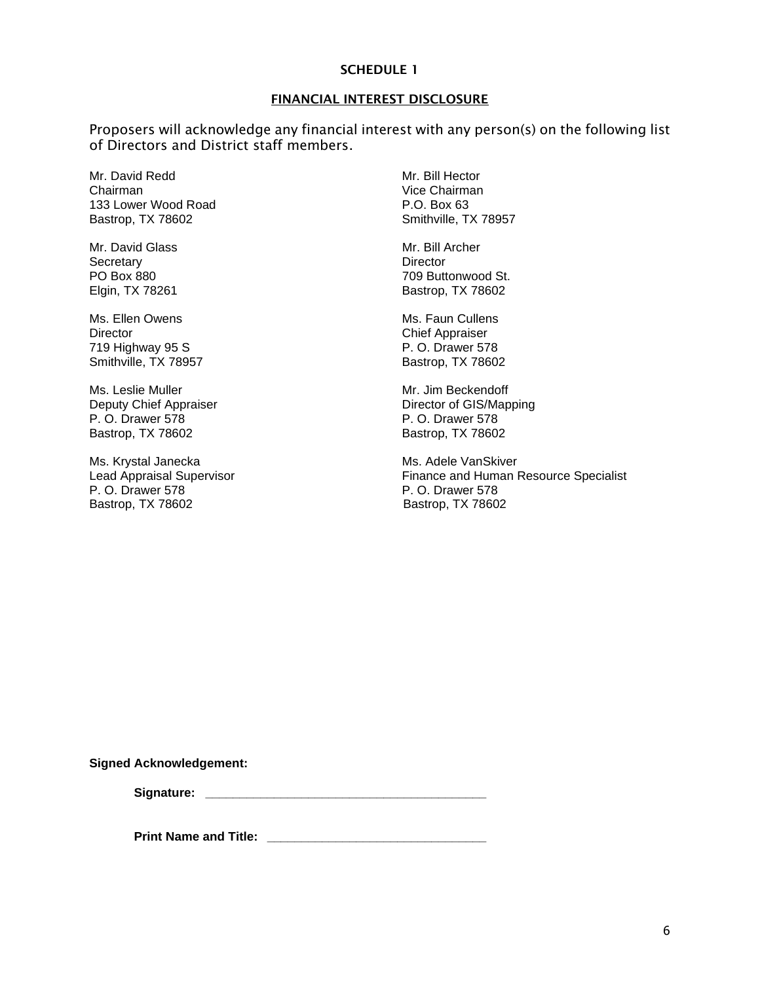#### SCHEDULE 1

#### FINANCIAL INTEREST DISCLOSURE

Proposers will acknowledge any financial interest with any person(s) on the following list of Directors and District staff members.

Mr. David Redd Mr. Bill Hector Chairman Vice Chairman<br>133 Lower Wood Road New York 133 Lower Wood Road 133 Lower Wood Road<br>
Bastrop, TX 78602 <br>
Bastrop, TX 78602 Bastrop, TX 78602

Mr. David Glass Mr. Bill Archer Secretary **Director** 

Ms. Ellen Owens **Ms.** Faun Cullens Director Chief Appraiser<br>
219 Highway 95 S<br>
219 Highway 95 S 719 Highway 95 S. Smithville, TX 78957 Bastrop, TX 78602

Ms. Leslie Muller Mateur Mr. Jim Beckendoff P. O. Drawer 578 P. O. Drawer 578 Bastrop, TX 78602 Bastrop, TX 78602

Ms. Krystal Janecka Ms. Adele VanSkiver P. O. Drawer 578 <br>
Bastrop, TX 78602 <br>
Bastrop, TX 78602

PO Box 880 709 Buttonwood St. Elgin, TX 78261 Bastrop, TX 78602

Deputy Chief Appraiser **Director of GIS/Mapping** 

Lead Appraisal Supervisor **Finance and Human Resource Specialist** Finance and Human Resource Specialist Bastrop, TX 78602

**Signed Acknowledgement:**

Signature: **With a set of the set of the set of the set of the set of the set of the set of the set of the set of the set of the set of the set of the set of the set of the set of the set of the set of the set of the set o** 

**Print Name and Title: \_\_\_\_\_\_\_\_\_\_\_\_\_\_\_\_\_\_\_\_\_\_\_\_\_\_\_\_\_\_\_\_**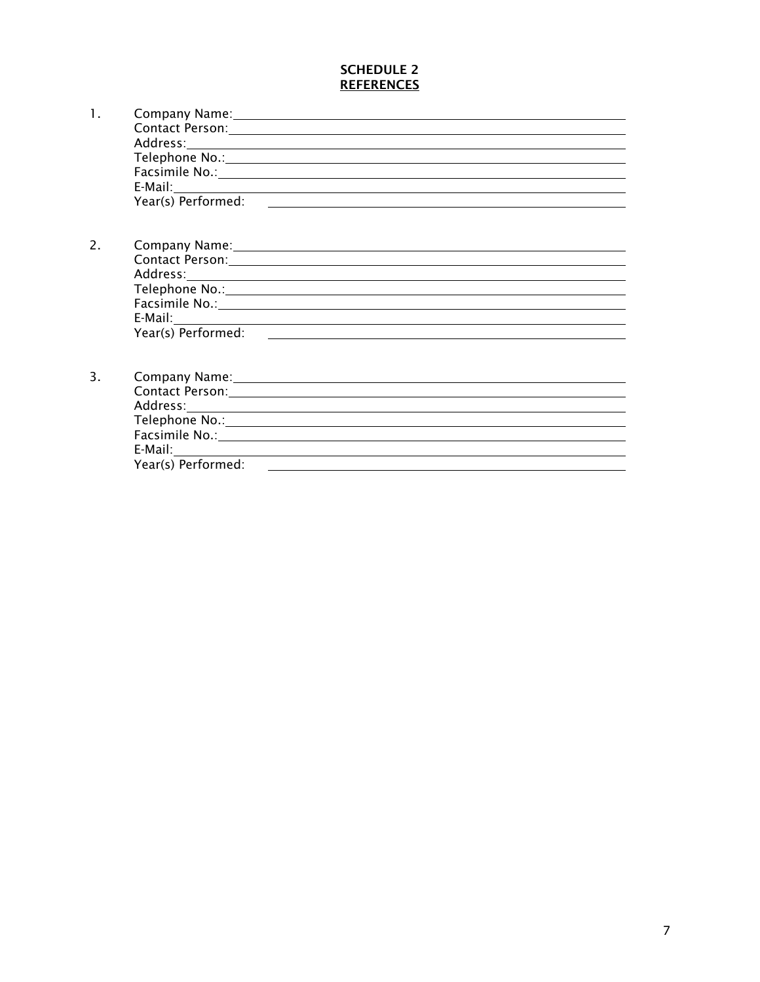# SCHEDULE 2 **REFERENCES**

| 1. |                               | Company Name: Name and Second Company Name and Second Company Name and Second Company of the Company of the Company of the Company of the Company of the Company of the Company of the Company of the Company of the Company o |
|----|-------------------------------|--------------------------------------------------------------------------------------------------------------------------------------------------------------------------------------------------------------------------------|
|    |                               | Contact Person: 1988 Contact Person: 1988 Contact Person: 1988 Contact Person: 1988 Contact Person: 1988 Conta                                                                                                                 |
|    |                               |                                                                                                                                                                                                                                |
|    |                               |                                                                                                                                                                                                                                |
|    |                               | Facsimile No.: Note that the set of the set of the set of the set of the set of the set of the set of the set of the set of the set of the set of the set of the set of the set of the set of the set of the set of the set of |
|    |                               |                                                                                                                                                                                                                                |
|    |                               |                                                                                                                                                                                                                                |
|    |                               |                                                                                                                                                                                                                                |
| 2. |                               | Company Name: Name and Second Company Name and Second Company Name and Second Company of the Company of the Company of the Company of the Company of the Company of the Company of the Company of the Company of the Company o |
|    |                               |                                                                                                                                                                                                                                |
|    |                               |                                                                                                                                                                                                                                |
|    |                               |                                                                                                                                                                                                                                |
|    |                               |                                                                                                                                                                                                                                |
|    |                               |                                                                                                                                                                                                                                |
|    |                               |                                                                                                                                                                                                                                |
|    |                               |                                                                                                                                                                                                                                |
| 3. |                               |                                                                                                                                                                                                                                |
|    |                               | Contact Person: Note and the Contact Person of the Contact Person in the Contact Person in the Contact Person                                                                                                                  |
|    |                               |                                                                                                                                                                                                                                |
|    |                               |                                                                                                                                                                                                                                |
|    |                               | Facsimile No.: 1999 Contract Contract Contract Contract Contract Contract Contract Contract Contract Contract Contract Contract Contract Contract Contract Contract Contract Contract Contract Contract Contract Contract Cont |
|    |                               |                                                                                                                                                                                                                                |
|    | Year(s) Performed: __________ |                                                                                                                                                                                                                                |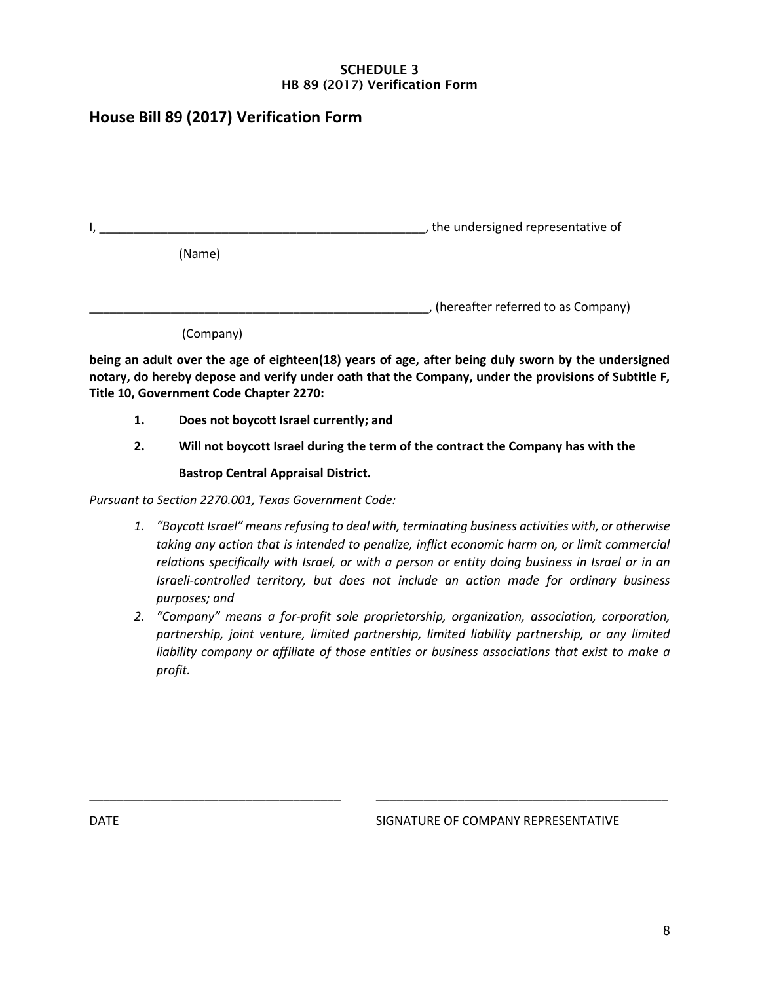## SCHEDULE 3 HB 89 (2017) Verification Form

# **House Bill 89 (2017) Verification Form**

|           | the undersigned representative of                                                                   |
|-----------|-----------------------------------------------------------------------------------------------------|
| (Name)    |                                                                                                     |
|           | (hereafter referred to as Company)                                                                  |
| (Company) |                                                                                                     |
|           | being an adult over the age of eighteen(18) years of age, after being duly sworn by the undersigned |

**notary, do hereby depose and verify under oath that the Company, under the provisions of Subtitle F, Title 10, Government Code Chapter 2270:**

- **1. Does not boycott Israel currently; and**
- **2. Will not boycott Israel during the term of the contract the Company has with the**

# **Bastrop Central Appraisal District.**

*Pursuant to Section 2270.001, Texas Government Code:*

- *1. "Boycott Israel" means refusing to deal with, terminating business activities with, or otherwise*  taking any action that is intended to penalize, inflict economic harm on, or limit commercial *relations specifically with Israel, or with a person or entity doing business in Israel or in an Israeli-controlled territory, but does not include an action made for ordinary business purposes; and*
- *2. "Company" means a for-profit sole proprietorship, organization, association, corporation, partnership, joint venture, limited partnership, limited liability partnership, or any limited liability company or affiliate of those entities or business associations that exist to make a profit.*

\_\_\_\_\_\_\_\_\_\_\_\_\_\_\_\_\_\_\_\_\_\_\_\_\_\_\_\_\_\_\_\_\_\_\_\_\_ \_\_\_\_\_\_\_\_\_\_\_\_\_\_\_\_\_\_\_\_\_\_\_\_\_\_\_\_\_\_\_\_\_\_\_\_\_\_\_\_\_\_\_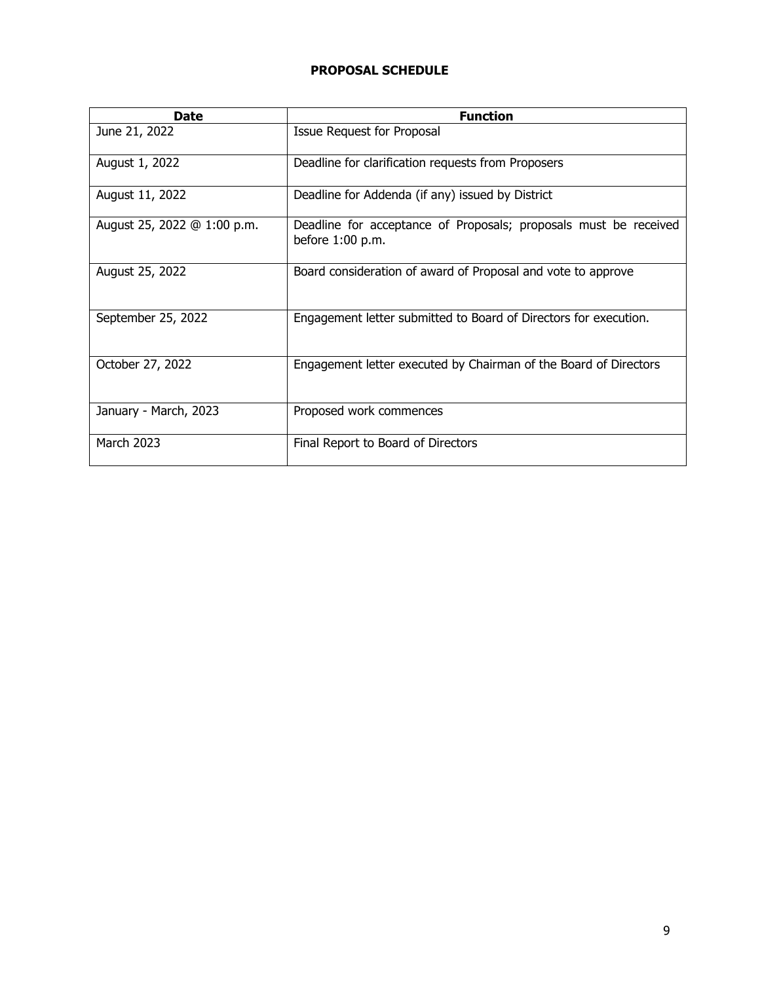# **PROPOSAL SCHEDULE**

| <b>Date</b>                 | <b>Function</b>                                                                        |
|-----------------------------|----------------------------------------------------------------------------------------|
| June 21, 2022               | Issue Request for Proposal                                                             |
| August 1, 2022              | Deadline for clarification requests from Proposers                                     |
| August 11, 2022             | Deadline for Addenda (if any) issued by District                                       |
| August 25, 2022 @ 1:00 p.m. | Deadline for acceptance of Proposals; proposals must be received<br>before $1:00$ p.m. |
| August 25, 2022             | Board consideration of award of Proposal and vote to approve                           |
| September 25, 2022          | Engagement letter submitted to Board of Directors for execution.                       |
| October 27, 2022            | Engagement letter executed by Chairman of the Board of Directors                       |
| January - March, 2023       | Proposed work commences                                                                |
| <b>March 2023</b>           | Final Report to Board of Directors                                                     |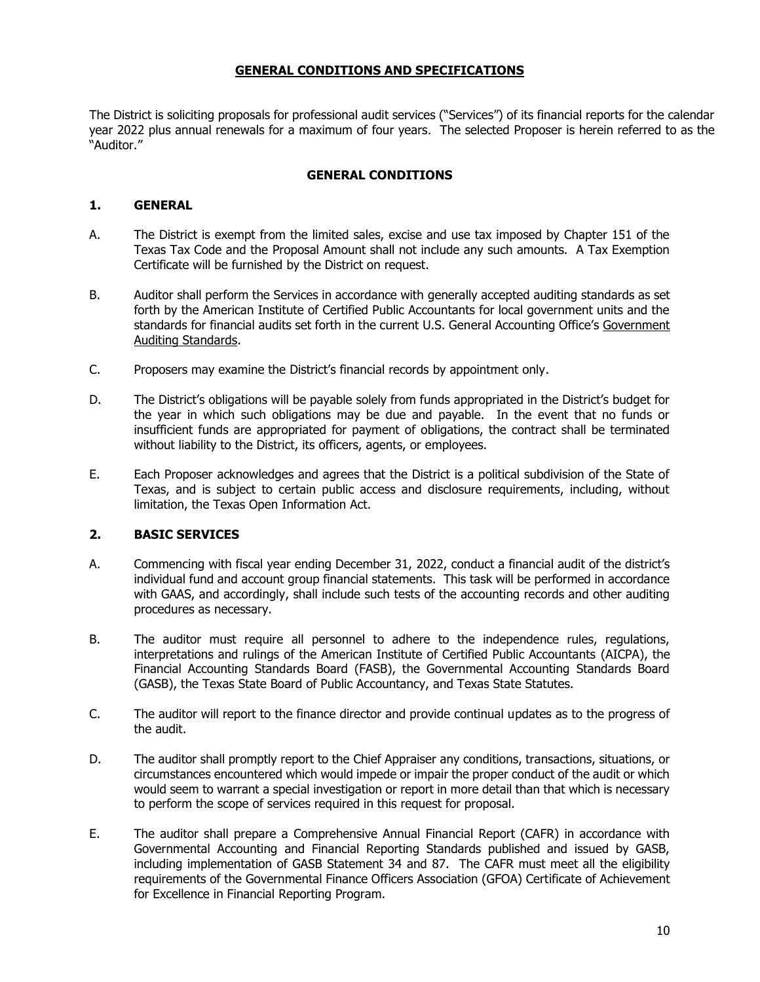# **GENERAL CONDITIONS AND SPECIFICATIONS**

The District is soliciting proposals for professional audit services ("Services") of its financial reports for the calendar year 2022 plus annual renewals for a maximum of four years. The selected Proposer is herein referred to as the "Auditor."

#### **GENERAL CONDITIONS**

#### **1. GENERAL**

- A. The District is exempt from the limited sales, excise and use tax imposed by Chapter 151 of the Texas Tax Code and the Proposal Amount shall not include any such amounts. A Tax Exemption Certificate will be furnished by the District on request.
- B. Auditor shall perform the Services in accordance with generally accepted auditing standards as set forth by the American Institute of Certified Public Accountants for local government units and the standards for financial audits set forth in the current U.S. General Accounting Office's Government Auditing Standards.
- C. Proposers may examine the District's financial records by appointment only.
- D. The District's obligations will be payable solely from funds appropriated in the District's budget for the year in which such obligations may be due and payable. In the event that no funds or insufficient funds are appropriated for payment of obligations, the contract shall be terminated without liability to the District, its officers, agents, or employees.
- E. Each Proposer acknowledges and agrees that the District is a political subdivision of the State of Texas, and is subject to certain public access and disclosure requirements, including, without limitation, the Texas Open Information Act.

#### **2. BASIC SERVICES**

- A. Commencing with fiscal year ending December 31, 2022, conduct a financial audit of the district's individual fund and account group financial statements. This task will be performed in accordance with GAAS, and accordingly, shall include such tests of the accounting records and other auditing procedures as necessary.
- B. The auditor must require all personnel to adhere to the independence rules, regulations, interpretations and rulings of the American Institute of Certified Public Accountants (AICPA), the Financial Accounting Standards Board (FASB), the Governmental Accounting Standards Board (GASB), the Texas State Board of Public Accountancy, and Texas State Statutes.
- C. The auditor will report to the finance director and provide continual updates as to the progress of the audit.
- D. The auditor shall promptly report to the Chief Appraiser any conditions, transactions, situations, or circumstances encountered which would impede or impair the proper conduct of the audit or which would seem to warrant a special investigation or report in more detail than that which is necessary to perform the scope of services required in this request for proposal.
- E. The auditor shall prepare a Comprehensive Annual Financial Report (CAFR) in accordance with Governmental Accounting and Financial Reporting Standards published and issued by GASB, including implementation of GASB Statement 34 and 87. The CAFR must meet all the eligibility requirements of the Governmental Finance Officers Association (GFOA) Certificate of Achievement for Excellence in Financial Reporting Program.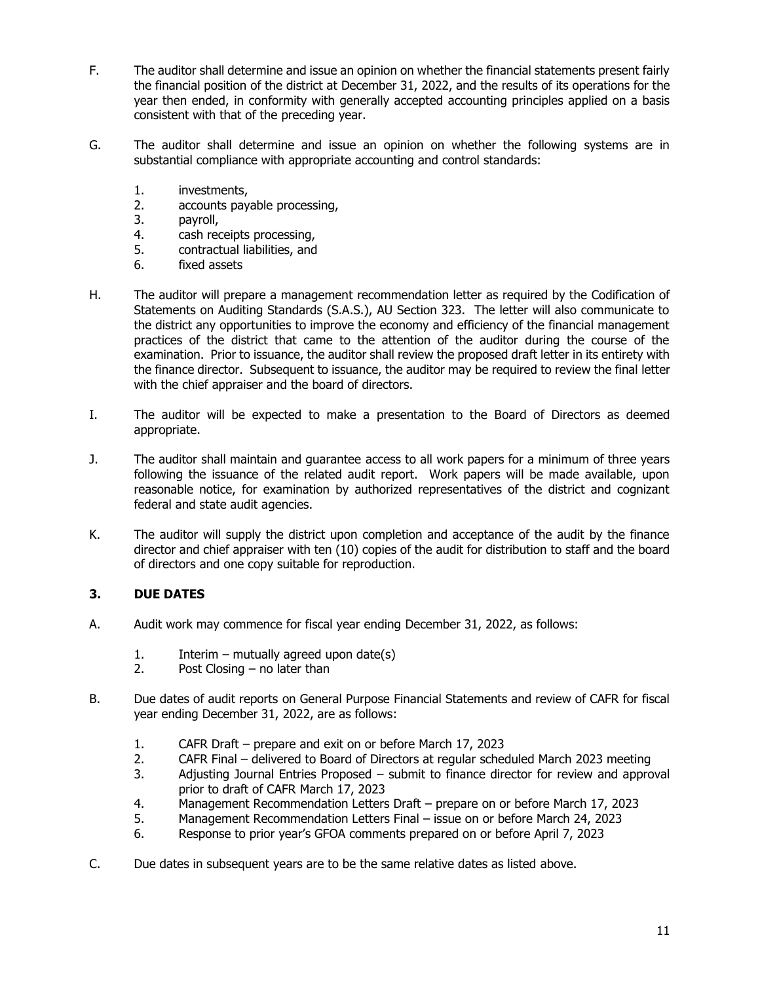- F. The auditor shall determine and issue an opinion on whether the financial statements present fairly the financial position of the district at December 31, 2022, and the results of its operations for the year then ended, in conformity with generally accepted accounting principles applied on a basis consistent with that of the preceding year.
- G. The auditor shall determine and issue an opinion on whether the following systems are in substantial compliance with appropriate accounting and control standards:
	- 1. investments,
	- 2. accounts payable processing,
	- 3. payroll,
	- 4. cash receipts processing,
	- 5. contractual liabilities, and
	- 6. fixed assets
- H. The auditor will prepare a management recommendation letter as required by the Codification of Statements on Auditing Standards (S.A.S.), AU Section 323. The letter will also communicate to the district any opportunities to improve the economy and efficiency of the financial management practices of the district that came to the attention of the auditor during the course of the examination. Prior to issuance, the auditor shall review the proposed draft letter in its entirety with the finance director. Subsequent to issuance, the auditor may be required to review the final letter with the chief appraiser and the board of directors.
- I. The auditor will be expected to make a presentation to the Board of Directors as deemed appropriate.
- J. The auditor shall maintain and guarantee access to all work papers for a minimum of three years following the issuance of the related audit report. Work papers will be made available, upon reasonable notice, for examination by authorized representatives of the district and cognizant federal and state audit agencies.
- K. The auditor will supply the district upon completion and acceptance of the audit by the finance director and chief appraiser with ten (10) copies of the audit for distribution to staff and the board of directors and one copy suitable for reproduction.

# **3. DUE DATES**

- A. Audit work may commence for fiscal year ending December 31, 2022, as follows:
	- 1. Interim mutually agreed upon date(s)
	- 2. Post Closing no later than
- B. Due dates of audit reports on General Purpose Financial Statements and review of CAFR for fiscal year ending December 31, 2022, are as follows:
	- 1. CAFR Draft prepare and exit on or before March 17, 2023
	- 2. CAFR Final delivered to Board of Directors at regular scheduled March 2023 meeting
	- 3. Adjusting Journal Entries Proposed submit to finance director for review and approval prior to draft of CAFR March 17, 2023
	- 4. Management Recommendation Letters Draft prepare on or before March 17, 2023
	- 5. Management Recommendation Letters Final issue on or before March 24, 2023
	- 6. Response to prior year's GFOA comments prepared on or before April 7, 2023
- C. Due dates in subsequent years are to be the same relative dates as listed above.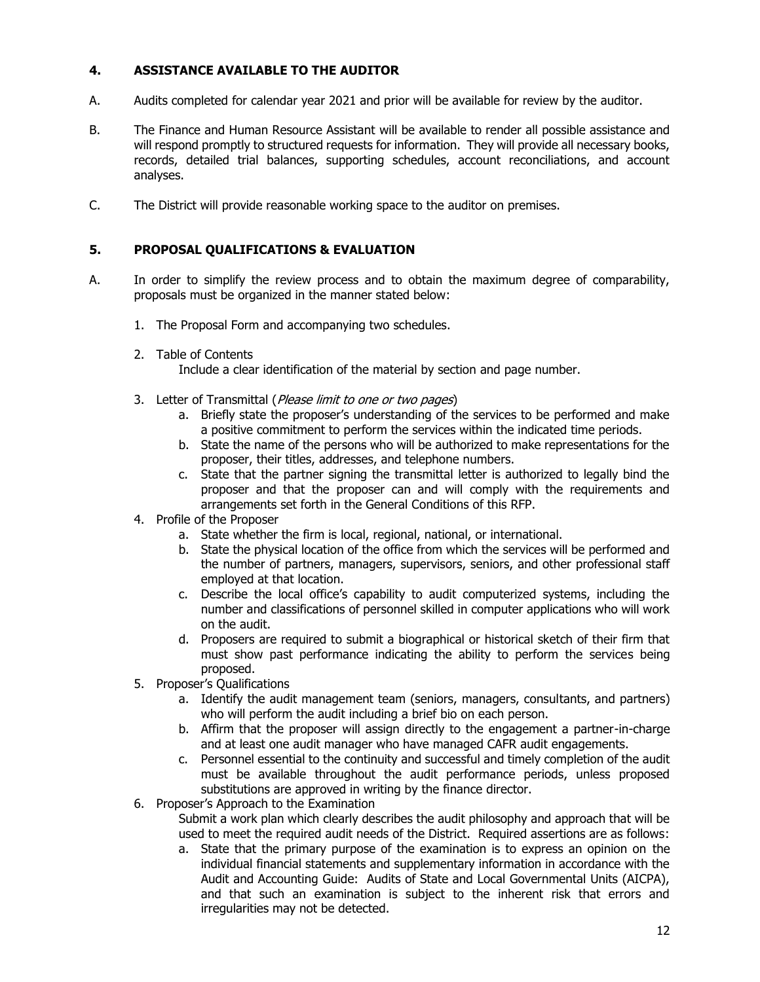## **4. ASSISTANCE AVAILABLE TO THE AUDITOR**

- A. Audits completed for calendar year 2021 and prior will be available for review by the auditor.
- B. The Finance and Human Resource Assistant will be available to render all possible assistance and will respond promptly to structured requests for information. They will provide all necessary books, records, detailed trial balances, supporting schedules, account reconciliations, and account analyses.
- C. The District will provide reasonable working space to the auditor on premises.

#### **5. PROPOSAL QUALIFICATIONS & EVALUATION**

- A. In order to simplify the review process and to obtain the maximum degree of comparability, proposals must be organized in the manner stated below:
	- 1. The Proposal Form and accompanying two schedules.
	- 2. Table of Contents
		- Include a clear identification of the material by section and page number.
	- 3. Letter of Transmittal (Please limit to one or two pages)
		- a. Briefly state the proposer's understanding of the services to be performed and make a positive commitment to perform the services within the indicated time periods.
		- b. State the name of the persons who will be authorized to make representations for the proposer, their titles, addresses, and telephone numbers.
		- c. State that the partner signing the transmittal letter is authorized to legally bind the proposer and that the proposer can and will comply with the requirements and arrangements set forth in the General Conditions of this RFP.
	- 4. Profile of the Proposer
		- a. State whether the firm is local, regional, national, or international.
		- b. State the physical location of the office from which the services will be performed and the number of partners, managers, supervisors, seniors, and other professional staff employed at that location.
		- c. Describe the local office's capability to audit computerized systems, including the number and classifications of personnel skilled in computer applications who will work on the audit.
		- d. Proposers are required to submit a biographical or historical sketch of their firm that must show past performance indicating the ability to perform the services being proposed.
	- 5. Proposer's Qualifications
		- a. Identify the audit management team (seniors, managers, consultants, and partners) who will perform the audit including a brief bio on each person.
		- b. Affirm that the proposer will assign directly to the engagement a partner-in-charge and at least one audit manager who have managed CAFR audit engagements.
		- c. Personnel essential to the continuity and successful and timely completion of the audit must be available throughout the audit performance periods, unless proposed substitutions are approved in writing by the finance director.
	- 6. Proposer's Approach to the Examination
		- Submit a work plan which clearly describes the audit philosophy and approach that will be used to meet the required audit needs of the District. Required assertions are as follows:
		- a. State that the primary purpose of the examination is to express an opinion on the individual financial statements and supplementary information in accordance with the Audit and Accounting Guide: Audits of State and Local Governmental Units (AICPA), and that such an examination is subject to the inherent risk that errors and irregularities may not be detected.